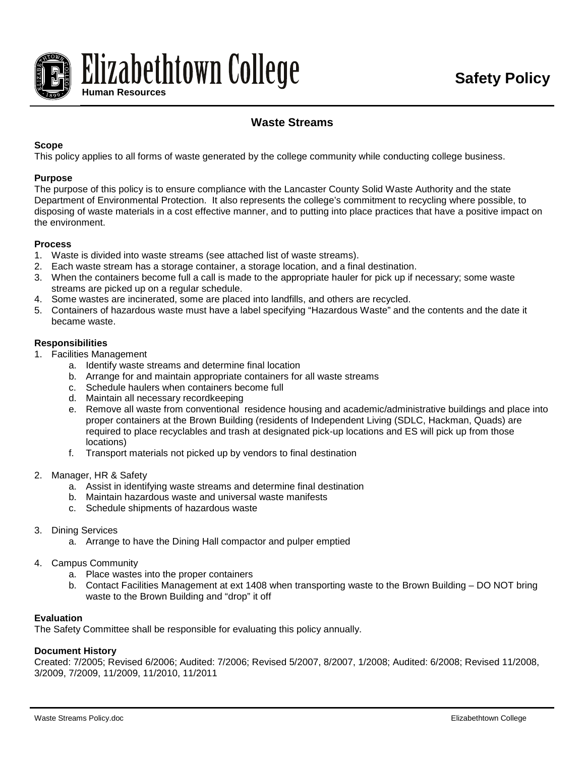

# **Waste Streams**

## **Scope**

This policy applies to all forms of waste generated by the college community while conducting college business.

#### **Purpose**

The purpose of this policy is to ensure compliance with the Lancaster County Solid Waste Authority and the state Department of Environmental Protection. It also represents the college's commitment to recycling where possible, to disposing of waste materials in a cost effective manner, and to putting into place practices that have a positive impact on the environment.

### **Process**

- 1. Waste is divided into waste streams (see attached list of waste streams).
- 2. Each waste stream has a storage container, a storage location, and a final destination.
- 3. When the containers become full a call is made to the appropriate hauler for pick up if necessary; some waste streams are picked up on a regular schedule.
- 4. Some wastes are incinerated, some are placed into landfills, and others are recycled.
- 5. Containers of hazardous waste must have a label specifying "Hazardous Waste" and the contents and the date it became waste.

#### **Responsibilities**

- 1. Facilities Management
	- a. Identify waste streams and determine final location
	- b. Arrange for and maintain appropriate containers for all waste streams
	- c. Schedule haulers when containers become full
	- d. Maintain all necessary recordkeeping
	- e. Remove all waste from conventional residence housing and academic/administrative buildings and place into proper containers at the Brown Building (residents of Independent Living (SDLC, Hackman, Quads) are required to place recyclables and trash at designated pick-up locations and ES will pick up from those locations)
	- f. Transport materials not picked up by vendors to final destination
- 2. Manager, HR & Safety
	- a. Assist in identifying waste streams and determine final destination
	- b. Maintain hazardous waste and universal waste manifests
	- c. Schedule shipments of hazardous waste
- 3. Dining Services
	- a. Arrange to have the Dining Hall compactor and pulper emptied
- 4. Campus Community
	- a. Place wastes into the proper containers
	- b. Contact Facilities Management at ext 1408 when transporting waste to the Brown Building DO NOT bring waste to the Brown Building and "drop" it off

#### **Evaluation**

The Safety Committee shall be responsible for evaluating this policy annually.

#### **Document History**

Created: 7/2005; Revised 6/2006; Audited: 7/2006; Revised 5/2007, 8/2007, 1/2008; Audited: 6/2008; Revised 11/2008, 3/2009, 7/2009, 11/2009, 11/2010, 11/2011